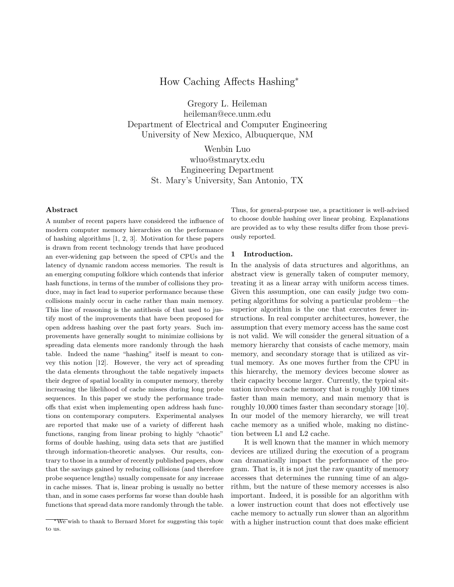# How Caching Affects Hashing<sup>∗</sup>

Gregory L. Heileman heileman@ece.unm.edu Department of Electrical and Computer Engineering University of New Mexico, Albuquerque, NM

> Wenbin Luo wluo@stmarytx.edu Engineering Department St. Mary's University, San Antonio, TX

# Abstract

A number of recent papers have considered the influence of modern computer memory hierarchies on the performance of hashing algorithms [1, 2, 3]. Motivation for these papers is drawn from recent technology trends that have produced an ever-widening gap between the speed of CPUs and the latency of dynamic random access memories. The result is an emerging computing folklore which contends that inferior hash functions, in terms of the number of collisions they produce, may in fact lead to superior performance because these collisions mainly occur in cache rather than main memory. This line of reasoning is the antithesis of that used to justify most of the improvements that have been proposed for open address hashing over the past forty years. Such improvements have generally sought to minimize collisions by spreading data elements more randomly through the hash table. Indeed the name "hashing" itself is meant to convey this notion [12]. However, the very act of spreading the data elements throughout the table negatively impacts their degree of spatial locality in computer memory, thereby increasing the likelihood of cache misses during long probe sequences. In this paper we study the performance tradeoffs that exist when implementing open address hash functions on contemporary computers. Experimental analyses are reported that make use of a variety of different hash functions, ranging from linear probing to highly "chaotic forms of double hashing, using data sets that are justified through information-theoretic analyses. Our results, contrary to those in a number of recently published papers, show that the savings gained by reducing collisions (and therefore probe sequence lengths) usually compensate for any increase in cache misses. That is, linear probing is usually no better than, and in some cases performs far worse than double hash functions that spread data more randomly through the table.

Thus, for general-purpose use, a practitioner is well-advised to choose double hashing over linear probing. Explanations are provided as to why these results differ from those previously reported.

#### 1 Introduction.

In the analysis of data structures and algorithms, an abstract view is generally taken of computer memory, treating it as a linear array with uniform access times. Given this assumption, one can easily judge two competing algorithms for solving a particular problem—the superior algorithm is the one that executes fewer instructions. In real computer architectures, however, the assumption that every memory access has the same cost is not valid. We will consider the general situation of a memory hierarchy that consists of cache memory, main memory, and secondary storage that is utilized as virtual memory. As one moves further from the CPU in this hierarchy, the memory devices become slower as their capacity become larger. Currently, the typical situation involves cache memory that is roughly 100 times faster than main memory, and main memory that is roughly 10,000 times faster than secondary storage [10]. In our model of the memory hierarchy, we will treat cache memory as a unified whole, making no distinction between L1 and L2 cache.

It is well known that the manner in which memory devices are utilized during the execution of a program can dramatically impact the performance of the program. That is, it is not just the raw quantity of memory accesses that determines the running time of an algorithm, but the nature of these memory accesses is also important. Indeed, it is possible for an algorithm with a lower instruction count that does not effectively use cache memory to actually run slower than an algorithm with a higher instruction count that does make efficient

<sup>∗</sup>We wish to thank to Bernard Moret for suggesting this topic to us.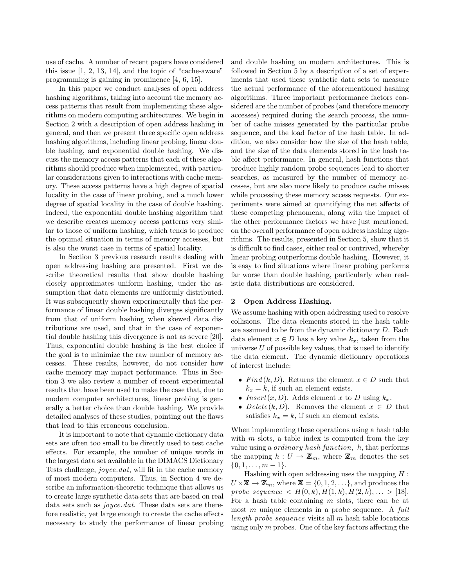use of cache. A number of recent papers have considered this issue  $[1, 2, 13, 14]$ , and the topic of "cache-aware" programming is gaining in prominence [4, 6, 15].

In this paper we conduct analyses of open address hashing algorithms, taking into account the memory access patterns that result from implementing these algorithms on modern computing architectures. We begin in Section 2 with a description of open address hashing in general, and then we present three specific open address hashing algorithms, including linear probing, linear double hashing, and exponential double hashing. We discuss the memory access patterns that each of these algorithms should produce when implemented, with particular considerations given to interactions with cache memory. These access patterns have a high degree of spatial locality in the case of linear probing, and a much lower degree of spatial locality in the case of double hashing. Indeed, the exponential double hashing algorithm that we describe creates memory access patterns very similar to those of uniform hashing, which tends to produce the optimal situation in terms of memory accesses, but is also the worst case in terms of spatial locality.

In Section 3 previous research results dealing with open addressing hashing are presented. First we describe theoretical results that show double hashing closely approximates uniform hashing, under the assumption that data elements are uniformly distributed. It was subsequently shown experimentally that the performance of linear double hashing diverges significantly from that of uniform hashing when skewed data distributions are used, and that in the case of exponential double hashing this divergence is not as severe [20]. Thus, exponential double hashing is the best choice if the goal is to minimize the raw number of memory accesses. These results, however, do not consider how cache memory may impact performance. Thus in Section 3 we also review a number of recent experimental results that have been used to make the case that, due to modern computer architectures, linear probing is generally a better choice than double hashing. We provide detailed analyses of these studies, pointing out the flaws that lead to this erroneous conclusion.

It is important to note that dynamic dictionary data sets are often too small to be directly used to test cache effects. For example, the number of unique words in the largest data set available in the DIMACS Dictionary Tests challenge, joyce.dat, will fit in the cache memory of most modern computers. Thus, in Section 4 we describe an information-theoretic technique that allows us to create large synthetic data sets that are based on real data sets such as *joyce.dat*. These data sets are therefore realistic, yet large enough to create the cache effects necessary to study the performance of linear probing

and double hashing on modern architectures. This is followed in Section 5 by a description of a set of experiments that used these synthetic data sets to measure the actual performance of the aforementioned hashing algorithms. Three important performance factors considered are the number of probes (and therefore memory accesses) required during the search process, the number of cache misses generated by the particular probe sequence, and the load factor of the hash table. In addition, we also consider how the size of the hash table, and the size of the data elements stored in the hash table affect performance. In general, hash functions that produce highly random probe sequences lead to shorter searches, as measured by the number of memory accesses, but are also more likely to produce cache misses while processing these memory access requests. Our experiments were aimed at quantifying the net affects of these competing phenomena, along with the impact of the other performance factors we have just mentioned, on the overall performance of open address hashing algorithms. The results, presented in Section 5, show that it is difficult to find cases, either real or contrived, whereby linear probing outperforms double hashing. However, it is easy to find situations where linear probing performs far worse than double hashing, particularly when realistic data distributions are considered.

# 2 Open Address Hashing.

We assume hashing with open addressing used to resolve collisions. The data elements stored in the hash table are assumed to be from the dynamic dictionary D. Each data element  $x \in D$  has a key value  $k_x$ , taken from the universe  $U$  of possible key values, that is used to identify the data element. The dynamic dictionary operations of interest include:

- Find  $(k, D)$ . Returns the element  $x \in D$  such that  $k_x = k$ , if such an element exists.
- Insert $(x, D)$ . Adds element x to D using  $k_x$ .
- Delete(k, D). Removes the element  $x \in D$  that satisfies  $k_x = k$ , if such an element exists.

When implementing these operations using a hash table with  $m$  slots, a table index is computed from the key value using a *ordinary hash function*,  $h$ , that performs the mapping  $h: U \to \mathbb{Z}_m$ , where  $\mathbb{Z}_m$  denotes the set  $\{0, 1, \ldots, m-1\}.$ 

Hashing with open addressing uses the mapping  $H$ :  $U \times \mathbb{Z} \to \mathbb{Z}_m$ , where  $\mathbb{Z} = \{0, 1, 2, \ldots\}$ , and produces the probe sequence  $\langle H(0,k), H(1,k), H(2,k), \ldots \rangle$  [18]. For a hash table containing  $m$  slots, there can be at most  $m$  unique elements in a probe sequence. A  $full$ length probe sequence visits all  $m$  hash table locations using only  $m$  probes. One of the key factors affecting the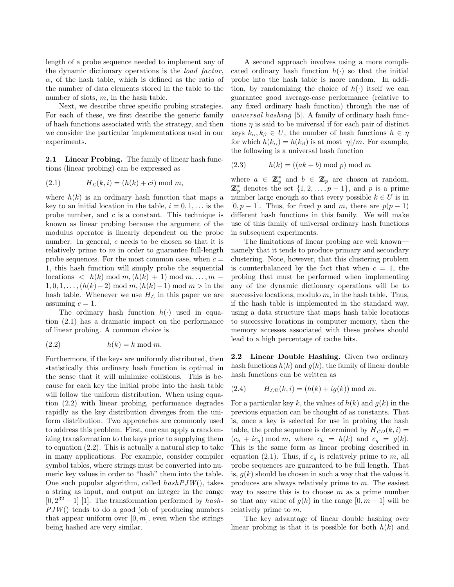length of a probe sequence needed to implement any of the dynamic dictionary operations is the load factor,  $\alpha$ , of the hash table, which is defined as the ratio of the number of data elements stored in the table to the number of slots,  $m$ , in the hash table.

Next, we describe three specific probing strategies. For each of these, we first describe the generic family of hash functions associated with the strategy, and then we consider the particular implementations used in our experiments.

2.1 Linear Probing. The family of linear hash functions (linear probing) can be expressed as

(2.1) HL(k, i) = (h(k) + ci) mod m,

where  $h(k)$  is an ordinary hash function that maps a key to an initial location in the table,  $i = 0, 1, \ldots$  is the probe number, and  $c$  is a constant. This technique is known as linear probing because the argument of the modulus operator is linearly dependent on the probe number. In general, c needs to be chosen so that it is relatively prime to  $m$  in order to guarantee full-length probe sequences. For the most common case, when  $c =$ 1, this hash function will simply probe the sequential locations  $\langle h(k) \bmod m, (h(k) + 1) \bmod m, \ldots, m - 1 \rangle$  $1, 0, 1, \ldots, (h(k)-2) \mod m, (h(k)-1) \mod m > \text{in the}$ hash table. Whenever we use  $H<sub>C</sub>$  in this paper we are assuming  $c = 1$ .

The ordinary hash function  $h(\cdot)$  used in equation (2.1) has a dramatic impact on the performance of linear probing. A common choice is

$$
(2.2) \t\t\t h(k) = k \mod m.
$$

Furthermore, if the keys are uniformly distributed, then statistically this ordinary hash function is optimal in the sense that it will minimize collisions. This is because for each key the initial probe into the hash table will follow the uniform distribution. When using equation (2.2) with linear probing, performance degrades rapidly as the key distribution diverges from the uniform distribution. Two approaches are commonly used to address this problem. First, one can apply a randomizing transformation to the keys prior to supplying them to equation (2.2). This is actually a natural step to take in many applications. For example, consider compiler symbol tables, where strings must be converted into numeric key values in order to "hash" them into the table. One such popular algorithm, called  $hashPJW()$ , takes a string as input, and output an integer in the range  $[0, 2^{32} - 1]$  [1]. The transformation performed by hash- $PJW()$  tends to do a good job of producing numbers that appear uniform over  $[0, m]$ , even when the strings being hashed are very similar.

A second approach involves using a more complicated ordinary hash function  $h(\cdot)$  so that the initial probe into the hash table is more random. In addition, by randomizing the choice of  $h(\cdot)$  itself we can guarantee good average-case performance (relative to any fixed ordinary hash function) through the use of universal hashing [5]. A family of ordinary hash functions  $\eta$  is said to be universal if for each pair of distinct keys  $k_{\alpha}, k_{\beta} \in U$ , the number of hash functions  $h \in \eta$ for which  $h(k_\alpha) = h(k_\beta)$  is at most  $|\eta|/m$ . For example, the following is a universal hash function

$$
(2.3) \t h(k) = ((ak + b) \bmod p) \bmod m
$$

where  $a \in \mathbb{Z}_p^*$  and  $b \in \mathbb{Z}_p$  are chosen at random,  $\mathbb{Z}_p^*$  denotes the set  $\{1, 2, \ldots, p-1\}$ , and p is a prime number large enough so that every possible  $k \in U$  is in [0,  $p-1$ ]. Thus, for fixed p and m, there are  $p(p-1)$ different hash functions in this family. We will make use of this family of universal ordinary hash functions in subsequent experiments.

The limitations of linear probing are well known namely that it tends to produce primary and secondary clustering. Note, however, that this clustering problem is counterbalanced by the fact that when  $c = 1$ , the probing that must be performed when implementing any of the dynamic dictionary operations will be to successive locations, modulo  $m$ , in the hash table. Thus, if the hash table is implemented in the standard way, using a data structure that maps hash table locations to successive locations in computer memory, then the memory accesses associated with these probes should lead to a high percentage of cache hits.

2.2 Linear Double Hashing. Given two ordinary hash functions  $h(k)$  and  $q(k)$ , the family of linear double hash functions can be written as

(2.4) HLD(k, i) = (h(k) + ig(k)) mod m.

For a particular key k, the values of  $h(k)$  and  $g(k)$  in the previous equation can be thought of as constants. That is, once a key is selected for use in probing the hash table, the probe sequence is determined by  $H_{\mathcal{L}\mathcal{D}}(k, i) =$  $(c_h + ic_g) \mod m$ , where  $c_h = h(k)$  and  $c_g = g(k)$ . This is the same form as linear probing described in equation (2.1). Thus, if  $c_q$  is relatively prime to m, all probe sequences are guaranteed to be full length. That is,  $q(k)$  should be chosen in such a way that the values it produces are always relatively prime to m. The easiest way to assure this is to choose  $m$  as a prime number so that any value of  $q(k)$  in the range  $[0, m-1]$  will be relatively prime to m.

The key advantage of linear double hashing over linear probing is that it is possible for both  $h(k)$  and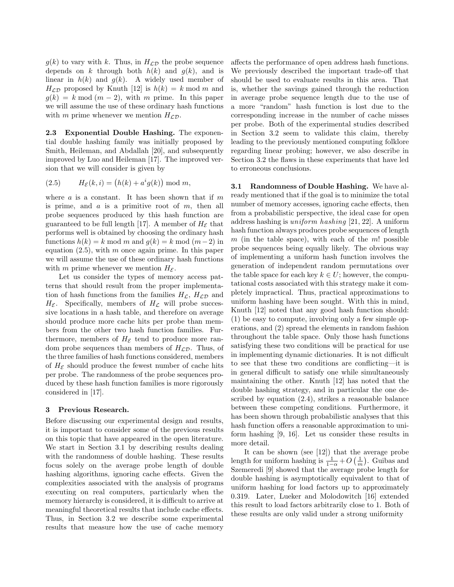$g(k)$  to vary with k. Thus, in  $H_{\mathcal{LD}}$  the probe sequence depends on k through both  $h(k)$  and  $g(k)$ , and is linear in  $h(k)$  and  $q(k)$ . A widely used member of  $H_{\mathcal{L}\mathcal{D}}$  proposed by Knuth [12] is  $h(k) = k \mod m$  and  $g(k) = k \mod (m-2)$ , with m prime. In this paper we will assume the use of these ordinary hash functions with m prime whenever we mention  $H_{\mathcal{L}\mathcal{D}}$ .

2.3 Exponential Double Hashing. The exponential double hashing family was initially proposed by Smith, Heileman, and Abdallah [20], and subsequently improved by Luo and Heileman [17]. The improved version that we will consider is given by

(2.5) 
$$
H_{\mathcal{E}}(k,i) = (h(k) + a^{i}g(k)) \mod m,
$$

where  $a$  is a constant. It has been shown that if  $m$ is prime, and  $a$  is a primitive root of  $m$ , then all probe sequences produced by this hash function are guaranteed to be full length [17]. A member of  $H_{\mathcal{E}}$  that performs well is obtained by choosing the ordinary hash functions  $h(k) = k \mod m$  and  $g(k) = k \mod (m-2)$  in equation  $(2.5)$ , with m once again prime. In this paper we will assume the use of these ordinary hash functions with m prime whenever we mention  $H_{\mathcal{E}}$ .

Let us consider the types of memory access patterns that should result from the proper implementation of hash functions from the families  $H_{\mathcal{L}}$ ,  $H_{\mathcal{L}\mathcal{D}}$  and  $H_{\mathcal{E}}$ . Specifically, members of  $H_{\mathcal{L}}$  will probe successive locations in a hash table, and therefore on average should produce more cache hits per probe than members from the other two hash function families. Furthermore, members of  $H_{\mathcal{E}}$  tend to produce more random probe sequences than members of  $H_{\mathcal{L}\mathcal{D}}$ . Thus, of the three families of hash functions considered, members of  $H_{\mathcal{E}}$  should produce the fewest number of cache hits per probe. The randomness of the probe sequences produced by these hash function families is more rigorously considered in [17].

# 3 Previous Research.

Before discussing our experimental design and results, it is important to consider some of the previous results on this topic that have appeared in the open literature. We start in Section 3.1 by describing results dealing with the randomness of double hashing. These results focus solely on the average probe length of double hashing algorithms, ignoring cache effects. Given the complexities associated with the analysis of programs executing on real computers, particularly when the memory hierarchy is considered, it is difficult to arrive at meaningful theoretical results that include cache effects. Thus, in Section 3.2 we describe some experimental results that measure how the use of cache memory

affects the performance of open address hash functions. We previously described the important trade-off that should be used to evaluate results in this area. That is, whether the savings gained through the reduction in average probe sequence length due to the use of a more "random" hash function is lost due to the corresponding increase in the number of cache misses per probe. Both of the experimental studies described in Section 3.2 seem to validate this claim, thereby leading to the previously mentioned computing folklore regarding linear probing; however, we also describe in Section 3.2 the flaws in these experiments that have led to erroneous conclusions.

3.1 Randomness of Double Hashing. We have already mentioned that if the goal is to minimize the total number of memory accesses, ignoring cache effects, then from a probabilistic perspective, the ideal case for open address hashing is uniform hashing [21, 22]. A uniform hash function always produces probe sequences of length  $m$  (in the table space), with each of the  $m!$  possible probe sequences being equally likely. The obvious way of implementing a uniform hash function involves the generation of independent random permutations over the table space for each key  $k \in U$ ; however, the computational costs associated with this strategy make it completely impractical. Thus, practical approximations to uniform hashing have been sought. With this in mind, Knuth [12] noted that any good hash function should: (1) be easy to compute, involving only a few simple operations, and (2) spread the elements in random fashion throughout the table space. Only those hash functions satisfying these two conditions will be practical for use in implementing dynamic dictionaries. It is not difficult to see that these two conditions are conflicting—it is in general difficult to satisfy one while simultaneously maintaining the other. Knuth [12] has noted that the double hashing strategy, and in particular the one described by equation (2.4), strikes a reasonable balance between these competing conditions. Furthermore, it has been shown through probabilistic analyses that this hash function offers a reasonable approximation to uniform hashing [9, 16]. Let us consider these results in more detail.

It can be shown (see [12]) that the average probe length for uniform hashing is  $\frac{1}{1-\alpha} + O\left(\frac{1}{m}\right)$ . Guibas and Szemeredi [9] showed that the average probe length for double hashing is asymptotically equivalent to that of uniform hashing for load factors up to approximately 0.319. Later, Lueker and Molodowitch [16] extended this result to load factors arbitrarily close to 1. Both of these results are only valid under a strong uniformity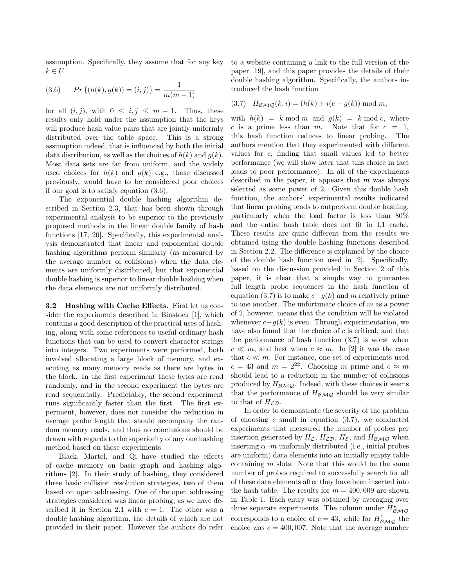assumption. Specifically, they assume that for any key  $k \in U$ 

(3.6) 
$$
Pr\{(h(k), g(k)) = (i, j)\} = \frac{1}{m(m-1)}
$$

for all  $(i, j)$ , with  $0 \leq i, j \leq m-1$ . Thus, these results only hold under the assumption that the keys will produce hash value pairs that are jointly uniformly distributed over the table space. This is a strong assumption indeed, that is influenced by both the initial data distribution, as well as the choices of  $h(k)$  and  $g(k)$ . Most data sets are far from uniform, and the widely used choices for  $h(k)$  and  $g(k)$  e.g., those discussed previously, would have to be considered poor choices if our goal is to satisfy equation (3.6).

The exponential double hashing algorithm described in Section 2.3, that has been shown through experimental analysis to be superior to the previously proposed methods in the linear double family of hash functions [17, 20]. Specifically, this experimental analysis demonstrated that linear and exponential double hashing algorithms perform similarly (as measured by the average number of collisions) when the data elements are uniformly distributed, but that exponential double hashing is superior to linear double hashing when the data elements are not uniformly distributed.

3.2 Hashing with Cache Effects. First let us consider the experiments described in Binstock [1], which contains a good description of the practical uses of hashing, along with some references to useful ordinary hash functions that can be used to convert character strings into integers. Two experiments were performed, both involved allocating a large block of memory, and executing as many memory reads as there are bytes in the block. In the first experiment these bytes are read randomly, and in the second experiment the bytes are read sequentially. Predictably, the second experiment runs significantly faster than the first. The first experiment, however, does not consider the reduction in average probe length that should accompany the random memory reads, and thus no conclusions should be drawn with regards to the superiority of any one hashing method based on these experiments.

Black, Martel, and Qi have studied the effects of cache memory on basic graph and hashing algorithms [2]. In their study of hashing, they considered three basic collision resolution strategies, two of them based on open addressing. One of the open addressing strategies considered was linear probing, as we have described it in Section 2.1 with  $c = 1$ . The other was a double hashing algorithm, the details of which are not provided in their paper. However the authors do refer to a website containing a link to the full version of the paper [19], and this paper provides the details of their double hashing algorithm. Specifically, the authors introduced the hash function

$$
(3.7) \quad H_{\mathcal{BMO}}(k,i) = (h(k) + i(c - g(k)) \bmod m,
$$

with  $h(k) = k \mod m$  and  $g(k) = k \mod c$ , where c is a prime less than m. Note that for  $c = 1$ , this hash function reduces to linear probing. The authors mention that they experimented with different values for c, finding that small values led to better performance (we will show later that this choice in fact leads to poor performance). In all of the experiments described in the paper, it appears that  $m$  was always selected as some power of 2. Given this double hash function, the authors' experimental results indicated that linear probing tends to outperform double hashing, particularly when the load factor is less than 80% and the entire hash table does not fit in L1 cache. These results are quite different from the results we obtained using the double hashing functions described in Section 2.2. The difference is explained by the choice of the double hash function used in [2]. Specifically, based on the discussion provided in Section 2 of this paper, it is clear that a simple way to guarantee full length probe sequences in the hash function of equation (3.7) is to make  $c-g(k)$  and m relatively prime to one another. The unfortunate choice of m as a power of 2, however, means that the condition will be violated whenever  $c-g(k)$  is even. Through experimentation, we have also found that the choice of  $c$  is critical, and that the performance of hash function (3.7) is worst when  $c \ll m$ , and best when  $c \approx m$ . In [2] it was the case that  $c \ll m$ . For instance, one set of experiments used  $c = 43$  and  $m = 2^{22}$ . Choosing m prime and  $c \approx m$ should lead to a reduction in the number of collisions produced by  $H_{BMO}$ . Indeed, with these choices it seems that the performance of  $H_{\beta\mathcal{M}\mathcal{Q}}$  should be very similar to that of  $H_{\mathcal{L}\mathcal{D}}$ .

In order to demonstrate the severity of the problem of choosing  $c$  small in equation  $(3.7)$ , we conducted experiments that measured the number of probes per insertion generated by  $H_{\mathcal{L}}, H_{\mathcal{L}\mathcal{D}}, H_{\mathcal{E}}$ , and  $H_{\mathcal{BMO}}$  when inserting  $\alpha \cdot m$  uniformly distributed (i.e., initial probes are uniform) data elements into an initially empty table containing  $m$  slots. Note that this would be the same number of probes required to successfully search for all of these data elements after they have been inserted into the hash table. The results for  $m = 400,009$  are shown in Table 1. Each entry was obtained by averaging over three separate experiments. The column under  $H^*_{\mathcal{BMO}}$ corresponds to a choice of  $c = 43$ , while for  $H_{\mathcal{BMQ}}^{\dagger}$  the choice was  $c = 400,007$ . Note that the average number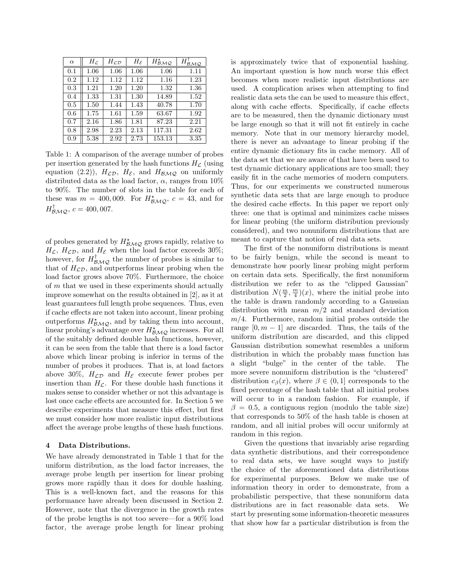| $\alpha$ | $H_{\mathcal{L}}$ | $H_{\mathcal{L}\mathcal{D}}$ | $H_{\mathcal{E}}$ | $H_{\mathcal{BMO}}^{\star}$ | $H_{\mathcal{B}_{\mathcal{M}\mathcal{Q}}}^{\perp}$ |
|----------|-------------------|------------------------------|-------------------|-----------------------------|----------------------------------------------------|
| 0.1      | 1.06              | 1.06                         | 1.06              | 1.06                        | 1.11                                               |
| 0.2      | 1.12              | 1.12                         | 1.12              | 1.16                        | 1.23                                               |
| 0.3      | 1.21              | 1.20                         | 1.20              | 1.32                        | 1.36                                               |
| 0.4      | 1.33              | 1.31                         | 1.30              | 14.89                       | 1.52                                               |
| 0.5      | 1.50              | 1.44                         | 1.43              | 40.78                       | 1.70                                               |
| 0.6      | 1.75              | 1.61                         | 1.59              | 63.67                       | 1.92                                               |
| 0.7      | 2.16              | 1.86                         | 1.81              | 87.23                       | 2.21                                               |
| 0.8      | 2.98              | 2.23                         | 2.13              | 117.31                      | 2.62                                               |
| 0.9      | 5.38              | 2.92                         | 2.73              | 153.13                      | 3.35                                               |

Table 1: A comparison of the average number of probes per insertion generated by the hash functions  $H_{\mathcal{L}}$  (using equation (2.2)),  $H_{\mathcal{LD}}$ ,  $H_{\mathcal{E}}$ , and  $H_{\mathcal{BMO}}$  on uniformly distributed data as the load factor,  $\alpha$ , ranges from 10% to 90%. The number of slots in the table for each of these was  $m = 400,009$ . For  $H^{\star}_{\mathcal{BMQ}}$ ,  $c = 43$ , and for  $H^{\dagger}_{\mathcal{BMO}}, c = 400,007.$ 

of probes generated by  $H^*_{\mathcal{BMO}}$  grows rapidly, relative to  $H_{\mathcal{L}}$ ,  $H_{\mathcal{L}\mathcal{D}}$ , and  $H_{\mathcal{E}}$  when the load factor exceeds 30%; however, for  $H_{\mathcal{BMO}}^{\dagger}$  the number of probes is similar to that of  $H_{\mathcal{LD}}$ , and outperforms linear probing when the load factor grows above 70%. Furthermore, the choice of  $m$  that we used in these experiments should actually improve somewhat on the results obtained in [2], as it at least guarantees full length probe sequences. Thus, even if cache effects are not taken into account, linear probing outperforms  $H^{\star}_{\mathcal{BMO}}$ , and by taking them into account, linear probing's advantage over  $H^*_{\mathcal{BMO}}$  increases. For all of the suitably defined double hash functions, however, it can be seen from the table that there is a load factor above which linear probing is inferior in terms of the number of probes it produces. That is, at load factors above 30%,  $H_{\mathcal{L}\mathcal{D}}$  and  $H_{\mathcal{E}}$  execute fewer probes per insertion than  $H_{\mathcal{L}}$ . For these double hash functions it makes sense to consider whether or not this advantage is lost once cache effects are accounted for. In Section 5 we describe experiments that measure this effect, but first we must consider how more realistic input distributions affect the average probe lengths of these hash functions.

#### 4 Data Distributions.

We have already demonstrated in Table 1 that for the uniform distribution, as the load factor increases, the average probe length per insertion for linear probing grows more rapidly than it does for double hashing. This is a well-known fact, and the reasons for this performance have already been discussed in Section 2. However, note that the divergence in the growth rates of the probe lengths is not too severe—for a 90% load factor, the average probe length for linear probing is approximately twice that of exponential hashing. An important question is how much worse this effect becomes when more realistic input distributions are used. A complication arises when attempting to find realistic data sets the can be used to measure this effect, along with cache effects. Specifically, if cache effects are to be measured, then the dynamic dictionary must be large enough so that it will not fit entirely in cache memory. Note that in our memory hierarchy model, there is never an advantage to linear probing if the entire dynamic dictionary fits in cache memory. All of the data set that we are aware of that have been used to test dynamic dictionary applications are too small; they easily fit in the cache memories of modern computers. Thus, for our experiments we constructed numerous synthetic data sets that are large enough to produce the desired cache effects. In this paper we report only three: one that is optimal and minimizes cache misses for linear probing (the uniform distribution previously considered), and two nonuniform distributions that are meant to capture that notion of real data sets.

The first of the nonuniform distributions is meant to be fairly benign, while the second is meant to demonstrate how poorly linear probing might perform on certain data sets. Specifically, the first nonuniform distribution we refer to as the "clipped Gaussian" distribution  $N(\frac{m}{2}, \frac{m}{4})(x)$ , where the initial probe into the table is drawn randomly according to a Gaussian distribution with mean  $m/2$  and standard deviation  $m/4$ . Furthermore, random initial probes outside the range  $[0, m - 1]$  are discarded. Thus, the tails of the uniform distribution are discarded, and this clipped Gaussian distribution somewhat resembles a uniform distribution in which the probably mass function has a slight "bulge" in the center of the table. The more severe nonuniform distribution is the "clustered" distribution  $c_\beta(x)$ , where  $\beta \in (0,1]$  corresponds to the fixed percentage of the hash table that all initial probes will occur to in a random fashion. For example, if  $\beta = 0.5$ , a contiguous region (modulo the table size) that corresponds to 50% of the hash table is chosen at random, and all initial probes will occur uniformly at random in this region.

Given the questions that invariably arise regarding data synthetic distributions, and their correspondence to real data sets, we have sought ways to justify the choice of the aforementioned data distributions for experimental purposes. Below we make use of information theory in order to demonstrate, from a probabilistic perspective, that these nonuniform data distributions are in fact reasonable data sets. We start by presenting some information-theoretic measures that show how far a particular distribution is from the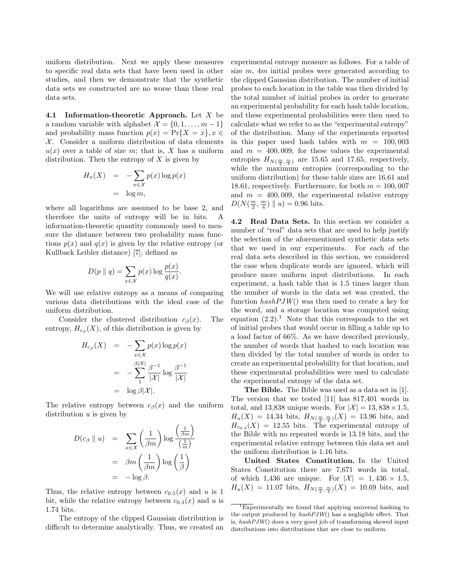uniform distribution. Next we apply these measures to specific real data sets that have been used in other studies, and then we demonstrate that the synthetic data sets we constructed are no worse than these real data sets.

4.1 Information-theoretic Approach. Let  $X$  be a random variable with alphabet  $\mathcal{X} = \{0, 1, \ldots, m-1\}$ and probability mass function  $p(x) = Pr{X = x}$ ,  $x \in$  $X$ . Consider a uniform distribution of data elements  $u(x)$  over a table of size m; that is, X has a uniform distribution. Then the entropy of  $X$  is given by

$$
H_u(X) = -\sum_{x \in \mathcal{X}} p(x) \log p(x)
$$
  
= log m,

where all logarithms are assumed to be base 2, and therefore the units of entropy will be in bits. A information-theoretic quantity commonly used to measure the distance between two probability mass functions  $p(x)$  and  $q(x)$  is given by the relative entropy (or Kullback Leibler distance) [7], defined as

$$
D(p \parallel q) = \sum_{x \in \mathcal{X}} p(x) \log \frac{p(x)}{q(x)}.
$$

We will use relative entropy as a means of comparing various data distributions with the ideal case of the uniform distribution.

Consider the clustered distribution  $c_{\beta}(x)$ . The entropy,  $H_{c}^{\dagger}(X)$ , of this distribution is given by

$$
H_{c_{\beta}}(X) = -\sum_{x \in \mathcal{X}} p(x) \log p(x)
$$
  
= 
$$
-\sum_{1}^{\beta |\mathcal{X}|} \frac{\beta^{-1}}{|\mathcal{X}|} \log \frac{\beta^{-1}}{|\mathcal{X}|}
$$
  
= 
$$
\log \beta |\mathcal{X}|.
$$

The relative entropy between  $c_\beta(x)$  and the uniform distribution  $u$  is given by

$$
D(c_{\beta} \parallel u) = \sum_{x \in \mathcal{X}} \left(\frac{1}{\beta m}\right) \log \frac{\left(\frac{1}{\beta m}\right)}{\left(\frac{1}{m}\right)}
$$
  
= 
$$
\beta m \left(\frac{1}{\beta m}\right) \log \left(\frac{1}{\beta}\right)
$$
  
= 
$$
-\log \beta.
$$

Thus, the relative entropy between  $c_{0.5}(x)$  and u is 1 bit, while the relative entropy between  $c_{0.3}(x)$  and u is 1.74 bits.

The entropy of the clipped Gaussian distribution is difficult to determine analytically. Thus, we created an

experimental entropy measure as follows. For a table of size  $m$ ,  $4m$  initial probes were generated according to the clipped Gaussian distribution. The number of initial probes to each location in the table was then divided by the total number of initial probes in order to generate an experimental probability for each hash table location, and these experimental probabilities were then used to calculate what we refer to as the "experimental entropy" of the distribution. Many of the experiments reported in this paper used hash tables with  $m = 100,003$ and  $m = 400,009$ ; for these values the experimental entropies  $H_{N(\frac{m}{2}, \frac{m}{4})}$  are 15.65 and 17.65, respectively, while the maximum entropies (corresponding to the uniform distribution) for these table sizes are 16.61 and 18.61, respectively. Furthermore, for both  $m = 100,007$ and  $m = 400,009$ , the experimental relative entropy  $D(N(\frac{m}{2}, \frac{m}{4}) || u) = 0.96$  bits.

4.2 Real Data Sets. In this section we consider a number of "real" data sets that are used to help justify the selection of the aforementioned synthetic data sets that we used in our experiments. For each of the real data sets described in this section, we considered the case when duplicate words are ignored, which will produce more uniform input distributions. In each experiment, a hash table that is 1.5 times larger than the number of words in the data set was created, the function  $hashPJW()$  was then used to create a key for the word, and a storage location was computed using equation  $(2.2).<sup>1</sup>$  Note that this corresponds to the set of initial probes that would occur in filling a table up to a load factor of 66%. As we have described previously, the number of words that hashed to each location was then divided by the total number of words in order to create an experimental probability for that location, and these experimental probabilities were used to calculate the experimental entropy of the data set.

The Bible. The Bible was used as a data set in [1]. The version that we tested [11] has 817,401 words in total, and 13,838 unique words. For  $|\mathcal{X}| = 13,838 \times 1.5$ ,  $H_u(X) = 14.34$  bits,  $H_{N(\frac{m}{2}, \frac{m}{4})}(X) = 13.96$  bits, and  $H_{c_{0.3}}(X) = 12.55$  bits. The experimental entropy of the Bible with no repeated words is 13.18 bits, and the experimental relative entropy between this data set and the uniform distribution is 1.16 bits.

United States Constitution. In the United States Constitution there are 7,671 words in total, of which 1,436 are unique. For  $|\mathcal{X}| = 1,436 \times 1.5$ ,  $H_u(X) = 11.07$  bits,  $H_{N(\frac{m}{2}, \frac{m}{4})}(X) = 10.69$  bits, and

<sup>&</sup>lt;sup>1</sup>Experimentally we found that applying universal hashing to the output produced by  $hashPJW()$  has a negligible effect. That is, hashPJW() does a very good job of transforming skewed input distributions into distributions that are close to uniform.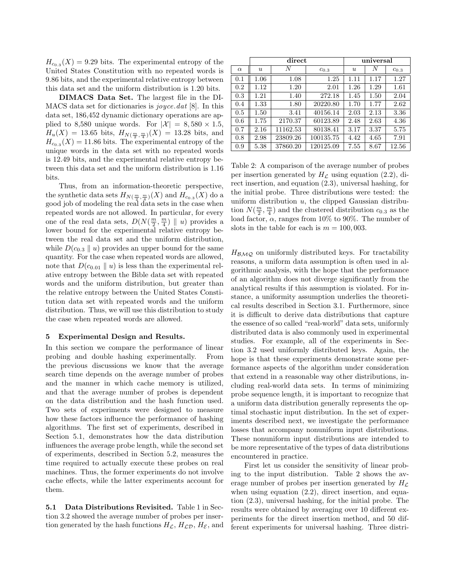$H_{c_{0.3}}(X) = 9.29$  bits. The experimental entropy of the United States Constitution with no repeated words is 9.86 bits, and the experimental relative entropy between this data set and the uniform distribution is 1.20 bits.

DIMACS Data Set. The largest file in the DI-MACS data set for dictionaries is  $joyce.dat$  [8]. In this data set, 186,452 dynamic dictionary operations are applied to 8,580 unique words. For  $|\mathcal{X}| = 8,580 \times 1.5$ ,  $H_u(X) = 13.65$  bits,  $H_{N(\frac{m}{2}, \frac{m}{4})}(X) = 13.28$  bits, and  $H_{c_{0.3}}(X) = 11.86$  bits. The experimental entropy of the unique words in the data set with no repeated words is 12.49 bits, and the experimental relative entropy between this data set and the uniform distribution is 1.16 bits.

Thus, from an information-theoretic perspective, the synthetic data sets  $H_{N(\frac{m}{2}, \frac{m}{4})}(X)$  and  $H_{c_{0.3}}(X)$  do a good job of modeling the real data sets in the case when repeated words are not allowed. In particular, for every one of the real data sets,  $D(N(\frac{m}{2}, \frac{m}{4}) || u)$  provides a lower bound for the experimental relative entropy between the real data set and the uniform distribution, while  $D(c_{0.3} \parallel u)$  provides an upper bound for the same quantity. For the case when repeated words are allowed, note that  $D(c_{0.01} \parallel u)$  is less than the experimental relative entropy between the Bible data set with repeated words and the uniform distribution, but greater than the relative entropy between the United States Constitution data set with repeated words and the uniform distribution. Thus, we will use this distribution to study the case when repeated words are allowed.

#### 5 Experimental Design and Results.

In this section we compare the performance of linear probing and double hashing experimentally. From the previous discussions we know that the average search time depends on the average number of probes and the manner in which cache memory is utilized, and that the average number of probes is dependent on the data distribution and the hash function used. Two sets of experiments were designed to measure how these factors influence the performance of hashing algorithms. The first set of experiments, described in Section 5.1, demonstrates how the data distribution influences the average probe length, while the second set of experiments, described in Section 5.2, measures the time required to actually execute these probes on real machines. Thus, the former experiments do not involve cache effects, while the latter experiments account for them.

5.1 Data Distributions Revisited. Table 1 in Section 3.2 showed the average number of probes per insertion generated by the hash functions  $H_{\mathcal{L}}, H_{\mathcal{L}\mathcal{D}}, H_{\mathcal{E}}$ , and

|          | direct           |          |           | universal        |      |           |
|----------|------------------|----------|-----------|------------------|------|-----------|
| $\alpha$ | $\boldsymbol{u}$ | N        | $c_{0.3}$ | $\boldsymbol{u}$ | N    | $c_{0.3}$ |
| 0.1      | $1.06\,$         | 1.08     | 1.25      | 1.11             | 1.17 | 1.27      |
| 0.2      | 1.12             | 1.20     | 2.01      | 1.26             | 1.29 | 1.61      |
| 0.3      | 1.21             | 1.40     | 272.18    | 1.45             | 1.50 | 2.04      |
| 0.4      | 1.33             | 1.80     | 20220.80  | 1.70             | 1.77 | 2.62      |
| 0.5      | 1.50             | 3.41     | 40156.14  | 2.03             | 2.13 | 3.36      |
| 0.6      | 1.75             | 2170.37  | 60123.89  | 2.48             | 2.63 | 4.36      |
| 0.7      | 2.16             | 11162.53 | 80138.41  | 3.17             | 3.37 | 5.75      |
| 0.8      | 2.98             | 23809.26 | 100135.75 | 4.42             | 4.65 | 7.91      |
| 0.9      | 5.38             | 37860.20 | 120125.09 | 7.55             | 8.67 | 12.56     |

Table 2: A comparison of the average number of probes per insertion generated by  $H<sub>L</sub>$  using equation (2.2), direct insertion, and equation (2.3), universal hashing, for the initial probe. Three distributions were tested: the uniform distribution  $u$ , the clipped Gaussian distribution  $N(\frac{m}{2}, \frac{m}{4})$  and the clustered distribution  $c_{0.3}$  as the load factor,  $\alpha$ , ranges from 10% to 90%. The number of slots in the table for each is  $m = 100,003$ .

 $H_{\mathcal{BMO}}$  on uniformly distributed keys. For tractability reasons, a uniform data assumption is often used in algorithmic analysis, with the hope that the performance of an algorithm does not diverge significantly from the analytical results if this assumption is violated. For instance, a uniformity assumption underlies the theoretical results described in Section 3.1. Furthermore, since it is difficult to derive data distributions that capture the essence of so called "real-world" data sets, uniformly distributed data is also commonly used in experimental studies. For example, all of the experiments in Section 3.2 used uniformly distributed keys. Again, the hope is that these experiments demonstrate some performance aspects of the algorithm under consideration that extend in a reasonable way other distributions, including real-world data sets. In terms of minimizing probe sequence length, it is important to recognize that a uniform data distribution generally represents the optimal stochastic input distribution. In the set of experiments described next, we investigate the performance losses that accompany nonuniform input distributions. These nonuniform input distributions are intended to be more representative of the types of data distributions encountered in practice.

First let us consider the sensitivity of linear probing to the input distribution. Table 2 shows the average number of probes per insertion generated by  $H_C$ when using equation  $(2.2)$ , direct insertion, and equation (2.3), universal hashing, for the initial probe. The results were obtained by averaging over 10 different experiments for the direct insertion method, and 50 different experiments for universal hashing. Three distri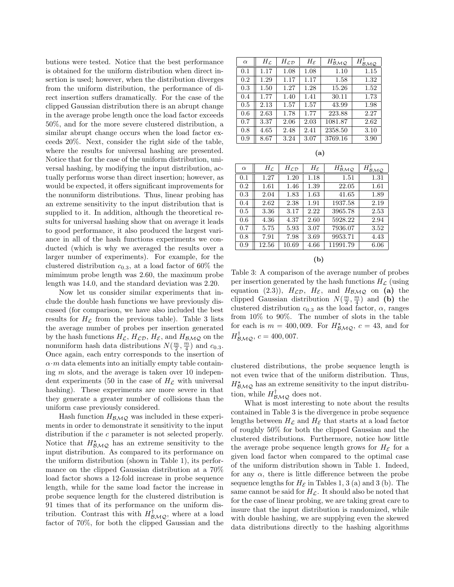butions were tested. Notice that the best performance is obtained for the uniform distribution when direct insertion is used; however, when the distribution diverges from the uniform distribution, the performance of direct insertion suffers dramatically. For the case of the clipped Gaussian distribution there is an abrupt change in the average probe length once the load factor exceeds 50%, and for the more severe clustered distribution, a similar abrupt change occurs when the load factor exceeds 20%. Next, consider the right side of the table, where the results for universal hashing are presented. Notice that for the case of the uniform distribution, universal hashing, by modifying the input distribution, actually performs worse than direct insertion; however, as would be expected, it offers significant improvements for the nonuniform distributions. Thus, linear probing has an extreme sensitivity to the input distribution that is supplied to it. In addition, although the theoretical results for universal hashing show that on average it leads to good performance, it also produced the largest variance in all of the hash functions experiments we conducted (which is why we averaged the results over a larger number of experiments). For example, for the clustered distribution  $c_{0.3}$ , at a load factor of 60% the mimimum probe length was 2.60, the maximum probe length was 14.0, and the standard deviation was 2.20.

Now let us consider similar experiments that include the double hash functions we have previously discussed (for comparison, we have also included the best results for  $H<sub>C</sub>$  from the previous table). Table 3 lists the average number of probes per insertion generated by the hash functions  $H_{\mathcal{L}}, H_{\mathcal{L}\mathcal{D}}, H_{\mathcal{E}}$ , and  $H_{\mathcal{B}\mathcal{M}\mathcal{Q}}$  on the nonuniform hash data distributions  $N(\frac{m}{2}, \frac{m}{4})$  and  $c_{0.3}$ . Once again, each entry corresponds to the insertion of  $\alpha \cdot m$  data elements into an initially empty table containing  $m$  slots, and the average is taken over 10 independent experiments (50 in the case of  $H_{\mathcal{L}}$  with universal hashing). These experiments are more severe in that they generate a greater number of collisions than the uniform case previously considered.

Hash function  $H_{\mathcal{BMO}}$  was included in these experiments in order to demonstrate it sensitivity to the input distribution if the c parameter is not selected properly. Notice that  $H^{\star}_{\mathcal{BMO}}$  has an extreme sensitivity to the input distribution. As compared to its performance on the uniform distribution (shown in Table 1), its performance on the clipped Gaussian distribution at a 70% load factor shows a 12-fold increase in probe sequence length, while for the same load factor the increase in probe sequence length for the clustered distribution is 91 times that of its performance on the uniform distribution. Contrast this with  $H_{\mathcal{BMO}}^{\dagger}$ , where at a load factor of 70%, for both the clipped Gaussian and the

| $\alpha$ | $H_{\mathcal{L}}$ | $H_{\mathcal{L}\mathcal{D}}$ | $H_{\mathcal{E}}$ | $H_{\mathcal{B}\mathcal{M}\mathcal{Q}}^{\star}$ | $H_{\mathcal{B}_{\mathcal{M}\mathcal{Q}}}^{\shortparallel}$ |
|----------|-------------------|------------------------------|-------------------|-------------------------------------------------|-------------------------------------------------------------|
| 0.1      | 1.17              | 1.08                         | 1.08              | 1.10                                            | 1.15                                                        |
| 0.2      | 1.29              | 1.17                         | 1.17              | 1.58                                            | 1.32                                                        |
| 0.3      | 1.50              | 1.27                         | 1.28              | 15.26                                           | 1.52                                                        |
| 0.4      | 1.77              | 1.40                         | 1.41              | 30.11                                           | 1.73                                                        |
| 0.5      | 2.13              | 1.57                         | 1.57              | 43.99                                           | 1.98                                                        |
| 0.6      | 2.63              | 1.78                         | 1.77              | 223.88                                          | 2.27                                                        |
| 0.7      | 3.37              | 2.06                         | 2.03              | 1081.87                                         | 2.62                                                        |
| 0.8      | 4.65              | 2.48                         | 2.41              | 2358.50                                         | 3.10                                                        |
| 0.9      | 8.67              | 3.24                         | 3.07              | 3769.16                                         | 3.90                                                        |

| $\alpha$ | $H_{\mathcal{L}}$ | $H_{\mathcal{L}\mathcal{D}}$ | $H_{\mathcal{E}}$ | $H_{\mathcal{BMO}}^{\star}$ | $H^+_{\mathcal{B}\underline{\mathcal{M}\mathcal{Q}}}$ |
|----------|-------------------|------------------------------|-------------------|-----------------------------|-------------------------------------------------------|
| 0.1      | 1.27              | 1.20                         | 1.18              | 1.51                        | 1.31                                                  |
| 0.2      | 1.61              | 1.46                         | 1.39              | 22.05                       | 1.61                                                  |
| 0.3      | 2.04              | 1.83                         | 1.63              | 41.65                       | 1.89                                                  |
| 0.4      | 2.62              | 2.38                         | 1.91              | 1937.58                     | 2.19                                                  |
| 0.5      | 3.36              | 3.17                         | 2.22              | 3965.78                     | 2.53                                                  |
| 0.6      | 4.36              | 4.37                         | 2.60              | 5928.22                     | 2.94                                                  |
| 0.7      | 5.75              | 5.93                         | 3.07              | 7936.07                     | 3.52                                                  |
| 0.8      | 7.91              | 7.98                         | 3.69              | 9953.71                     | 4.43                                                  |
| 0.9      | 12.56             | 10.69                        | 4.66              | 11991.79                    | 6.06                                                  |
|          |                   |                              |                   |                             |                                                       |

(b)

Table 3: A comparison of the average number of probes per insertion generated by the hash functions  $H_{\mathcal{L}}$  (using equation (2.3)),  $H_{\mathcal{LD}}$ ,  $H_{\mathcal{E}}$ , and  $H_{\mathcal{BMO}}$  on (a) the clipped Gaussian distribution  $N(\frac{m}{2}, \frac{m}{4})$  and (b) the clustered distribution  $c_{0.3}$  as the load factor,  $\alpha$ , ranges from 10% to 90%. The number of slots in the table for each is  $m = 400,009$ . For  $H^*_{\mathcal{BMQ}}$ ,  $c = 43$ , and for  $H^{\dagger}_{\mathcal{BMO}}, c = 400,007.$ 

clustered distributions, the probe sequence length is not even twice that of the uniform distribution. Thus,  $H^{\star}_{\mathcal{BMO}}$  has an extreme sensitivity to the input distribution, while  $H^{\dagger}_{\mathcal{BMO}}$  does not.

What is most interesting to note about the results contained in Table 3 is the divergence in probe sequence lengths between  $H_{\mathcal{L}}$  and  $H_{\mathcal{E}}$  that starts at a load factor of roughly 50% for both the clipped Gaussian and the clustered distributions. Furthermore, notice how little the average probe sequence length grows for  $H_{\mathcal{E}}$  for a given load factor when compared to the optimal case of the uniform distribution shown in Table 1. Indeed, for any  $\alpha$ , there is little difference between the probe sequence lengths for  $H_{\mathcal{E}}$  in Tables 1, 3 (a) and 3 (b). The same cannot be said for  $H_{\mathcal{L}}$ . It should also be noted that for the case of linear probing, we are taking great care to insure that the input distribution is randomized, while with double hashing, we are supplying even the skewed data distributions directly to the hashing algorithms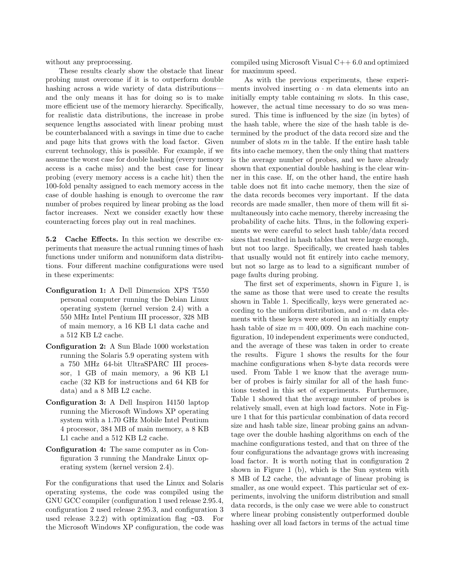without any preprocessing.

These results clearly show the obstacle that linear probing must overcome if it is to outperform double hashing across a wide variety of data distributions and the only means it has for doing so is to make more efficient use of the memory hierarchy. Specifically, for realistic data distributions, the increase in probe sequence lengths associated with linear probing must be counterbalanced with a savings in time due to cache and page hits that grows with the load factor. Given current technology, this is possible. For example, if we assume the worst case for double hashing (every memory access is a cache miss) and the best case for linear probing (every memory access is a cache hit) then the 100-fold penalty assigned to each memory access in the case of double hashing is enough to overcome the raw number of probes required by linear probing as the load factor increases. Next we consider exactly how these counteracting forces play out in real machines.

5.2 Cache Effects. In this section we describe experiments that measure the actual running times of hash functions under uniform and nonuniform data distributions. Four different machine configurations were used in these experiments:

- Configuration 1: A Dell Dimension XPS T550 personal computer running the Debian Linux operating system (kernel version 2.4) with a 550 MHz Intel Pentium III processor, 328 MB of main memory, a 16 KB L1 data cache and a 512 KB L2 cache.
- Configuration 2: A Sun Blade 1000 workstation running the Solaris 5.9 operating system with a 750 MHz 64-bit UltraSPARC III processor, 1 GB of main memory, a 96 KB L1 cache (32 KB for instructions and 64 KB for data) and a 8 MB L2 cache.
- Configuration 3: A Dell Inspiron I4150 laptop running the Microsoft Windows XP operating system with a 1.70 GHz Mobile Intel Pentium 4 processor, 384 MB of main memory, a 8 KB L1 cache and a 512 KB L2 cache.
- Configuration 4: The same computer as in Configuration 3 running the Mandrake Linux operating system (kernel version 2.4).

For the configurations that used the Linux and Solaris operating systems, the code was compiled using the GNU GCC compiler (configuration 1 used release 2.95.4, configuration 2 used release 2.95.3, and configuration 3 used release  $3.2.2$ ) with optimization flag  $-03$ . For the Microsoft Windows XP configuration, the code was

compiled using Microsoft Visual  $C++6.0$  and optimized for maximum speed.

As with the previous experiments, these experiments involved inserting  $\alpha \cdot m$  data elements into an initially empty table containing  $m$  slots. In this case, however, the actual time necessary to do so was measured. This time is influenced by the size (in bytes) of the hash table, where the size of the hash table is determined by the product of the data record size and the number of slots  $m$  in the table. If the entire hash table fits into cache memory, then the only thing that matters is the average number of probes, and we have already shown that exponential double hashing is the clear winner in this case. If, on the other hand, the entire hash table does not fit into cache memory, then the size of the data records becomes very important. If the data records are made smaller, then more of them will fit simultaneously into cache memory, thereby increasing the probability of cache hits. Thus, in the following experiments we were careful to select hash table/data record sizes that resulted in hash tables that were large enough, but not too large. Specifically, we created hash tables that usually would not fit entirely into cache memory, but not so large as to lead to a significant number of page faults during probing.

The first set of experiments, shown in Figure 1, is the same as those that were used to create the results shown in Table 1. Specifically, keys were generated according to the uniform distribution, and  $\alpha \cdot m$  data elements with these keys were stored in an initially empty hash table of size  $m = 400,009$ . On each machine configuration, 10 independent experiments were conducted, and the average of these was taken in order to create the results. Figure 1 shows the results for the four machine configurations when 8-byte data records were used. From Table 1 we know that the average number of probes is fairly similar for all of the hash functions tested in this set of experiments. Furthermore, Table 1 showed that the average number of probes is relatively small, even at high load factors. Note in Figure 1 that for this particular combination of data record size and hash table size, linear probing gains an advantage over the double hashing algorithms on each of the machine configurations tested, and that on three of the four configurations the advantage grows with increasing load factor. It is worth noting that in configuration 2 shown in Figure 1 (b), which is the Sun system with 8 MB of L2 cache, the advantage of linear probing is smaller, as one would expect. This particular set of experiments, involving the uniform distribution and small data records, is the only case we were able to construct where linear probing consistently outperformed double hashing over all load factors in terms of the actual time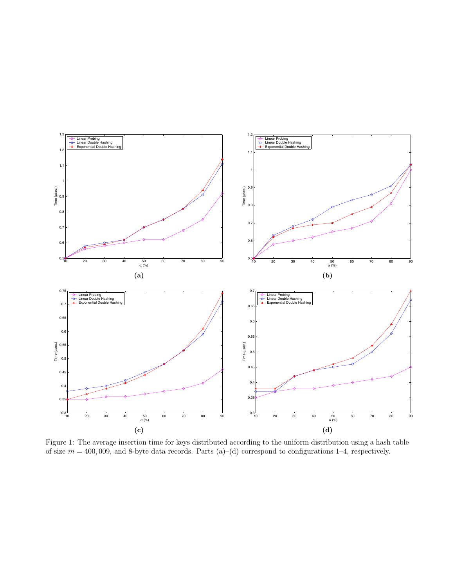

Figure 1: The average insertion time for keys distributed according to the uniform distribution using a hash table of size  $m = 400,009$ , and 8-byte data records. Parts (a)–(d) correspond to configurations 1–4, respectively.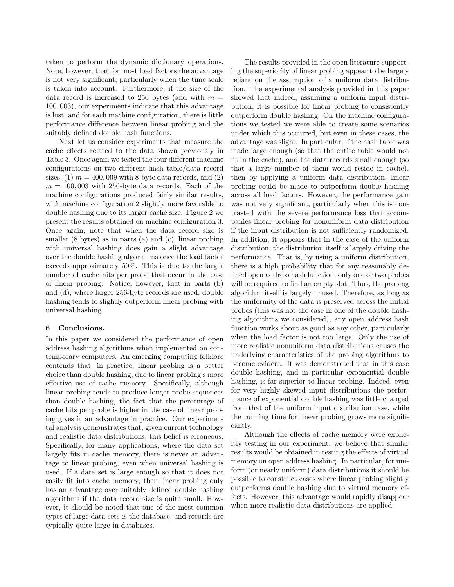taken to perform the dynamic dictionary operations. Note, however, that for most load factors the advantage is not very significant, particularly when the time scale is taken into account. Furthermore, if the size of the data record is increased to 256 bytes (and with  $m =$ 100, 003), our experiments indicate that this advantage is lost, and for each machine configuration, there is little performance difference between linear probing and the suitably defined double hash functions.

Next let us consider experiments that measure the cache effects related to the data shown previously in Table 3. Once again we tested the four different machine configurations on two different hash table/data record sizes,  $(1)$   $m = 400,009$  with 8-byte data records, and  $(2)$  $m = 100,003$  with 256-byte data records. Each of the machine configurations produced fairly similar results, with machine configuration 2 slightly more favorable to double hashing due to its larger cache size. Figure 2 we present the results obtained on machine configuration 3. Once again, note that when the data record size is smaller  $(8 \text{ bytes})$  as in parts  $(a)$  and  $(c)$ , linear probing with universal hashing does gain a slight advantage over the double hashing algorithms once the load factor exceeds approximately 50%. This is due to the larger number of cache hits per probe that occur in the case of linear probing. Notice, however, that in parts (b) and (d), where larger 256-byte records are used, double hashing tends to slightly outperform linear probing with universal hashing.

#### 6 Conclusions.

In this paper we considered the performance of open address hashing algorithms when implemented on contemporary computers. An emerging computing folklore contends that, in practice, linear probing is a better choice than double hashing, due to linear probing's more effective use of cache memory. Specifically, although linear probing tends to produce longer probe sequences than double hashing, the fact that the percentage of cache hits per probe is higher in the case of linear probing gives it an advantage in practice. Our experimental analysis demonstrates that, given current technology and realistic data distributions, this belief is erroneous. Specifically, for many applications, where the data set largely fits in cache memory, there is never an advantage to linear probing, even when universal hashing is used. If a data set is large enough so that it does not easily fit into cache memory, then linear probing only has an advantage over suitably defined double hashing algorithms if the data record size is quite small. However, it should be noted that one of the most common types of large data sets is the database, and records are typically quite large in databases.

The results provided in the open literature supporting the superiority of linear probing appear to be largely reliant on the assumption of a uniform data distribution. The experimental analysis provided in this paper showed that indeed, assuming a uniform input distribution, it is possible for linear probing to consistently outperform double hashing. On the machine configurations we tested we were able to create some scenarios under which this occurred, but even in these cases, the advantage was slight. In particular, if the hash table was made large enough (so that the entire table would not fit in the cache), and the data records small enough (so that a large number of them would reside in cache), then by applying a uniform data distribution, linear probing could be made to outperform double hashing across all load factors. However, the performance gain was not very significant, particularly when this is contrasted with the severe performance loss that accompanies linear probing for nonuniform data distribution if the input distribution is not sufficiently randomized. In addition, it appears that in the case of the uniform distribution, the distribution itself is largely driving the performance. That is, by using a uniform distribution, there is a high probability that for any reasonably defined open address hash function, only one or two probes will be required to find an empty slot. Thus, the probing algorithm itself is largely unused. Therefore, as long as the uniformity of the data is preserved across the initial probes (this was not the case in one of the double hashing algorithms we considered), any open address hash function works about as good as any other, particularly when the load factor is not too large. Only the use of more realistic nonuniform data distributions causes the underlying characteristics of the probing algorithms to become evident. It was demonstrated that in this case double hashing, and in particular exponential double hashing, is far superior to linear probing. Indeed, even for very highly skewed input distributions the performance of exponential double hashing was little changed from that of the uniform input distribution case, while the running time for linear probing grows more significantly.

Although the effects of cache memory were explicitly testing in our experiment, we believe that similar results would be obtained in testing the effects of virtual memory on open address hashing. In particular, for uniform (or nearly uniform) data distributions it should be possible to construct cases where linear probing slightly outperforms double hashing due to virtual memory effects. However, this advantage would rapidly disappear when more realistic data distributions are applied.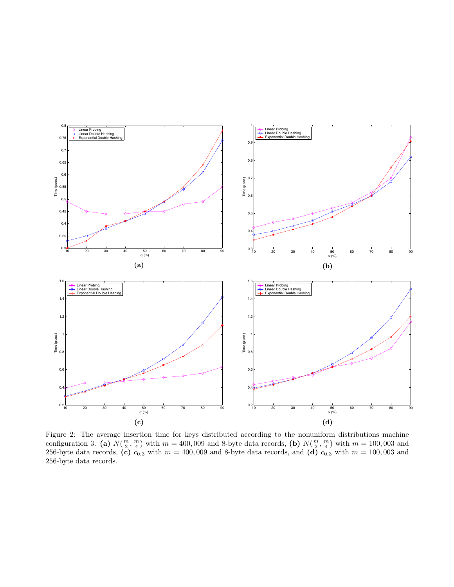

Figure 2: The average insertion time for keys distributed according to the nonuniform distributions machine configuration 3. (a)  $N(\frac{m}{2}, \frac{m}{4})$  with  $m = 400,009$  and 8-byte data records, (b)  $N(\frac{m}{2}, \frac{m}{4})$  with  $m = 100,003$  and 256-byte data records, (c)  $c_{0.3}$  with  $m = 400,009$  and 8-byte data records, and (d)  $c_{0.3}$  with  $m = 100,003$  and 256-byte data records.